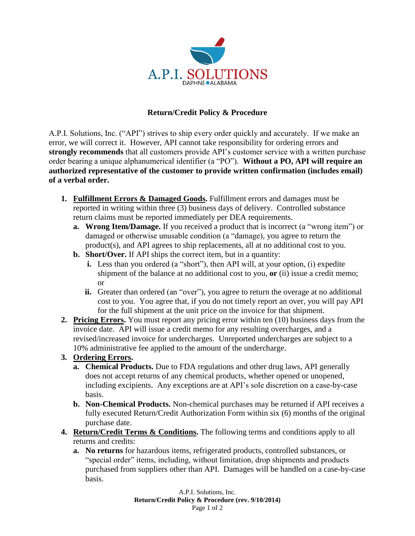

## **Return/Credit Policy & Procedure**

A.P.I. Solutions, Inc. ("API") strives to ship every order quickly and accurately. If we make an error, we will correct it. However, API cannot take responsibility for ordering errors and **strongly recommends** that all customers provide API's customer service with a written purchase order bearing a unique alphanumerical identifier (a "PO"). **Without a PO, API will require an authorized representative of the customer to provide written confirmation (includes email) of a verbal order.** 

- **1. Fulfillment Errors & Damaged Goods.** Fulfillment errors and damages must be reported in writing within three (3) business days of delivery. Controlled substance return claims must be reported immediately per DEA requirements.
	- **a. Wrong Item/Damage.** If you received a product that is incorrect (a "wrong item") or damaged or otherwise unusable condition (a "damage), you agree to return the product(s), and API agrees to ship replacements, all at no additional cost to you.
	- **b. Short/Over.** If API ships the correct item, but in a quantity:
		- **i.** Less than you ordered (a "short"), then API will, at your option, (i) expedite shipment of the balance at no additional cost to you, **or** (ii) issue a credit memo; or
		- **ii.** Greater than ordered (an "over"), you agree to return the overage at no additional cost to you. You agree that, if you do not timely report an over, you will pay API for the full shipment at the unit price on the invoice for that shipment.
- **2. Pricing Errors.** You must report any pricing error within ten (10) business days from the invoice date. API will issue a credit memo for any resulting overcharges, and a revised/increased invoice for undercharges. Unreported undercharges are subject to a 10% administrative fee applied to the amount of the undercharge.

## **3. Ordering Errors.**

- **a. Chemical Products.** Due to FDA regulations and other drug laws, API generally does not accept returns of any chemical products, whether opened or unopened, including excipients. Any exceptions are at API's sole discretion on a case-by-case basis.
- **b. Non-Chemical Products.** Non-chemical purchases may be returned if API receives a fully executed Return/Credit Authorization Form within six (6) months of the original purchase date.
- **4. Return/Credit Terms & Conditions.** The following terms and conditions apply to all returns and credits:
	- **a. No returns** for hazardous items, refrigerated products, controlled substances, or "special order" items, including, without limitation, drop shipments and products purchased from suppliers other than API. Damages will be handled on a case-by-case basis.

A.P.I. Solutions, Inc. **Return/Credit Policy & Procedure (rev. 9/10/2014)** Page 1 of 2